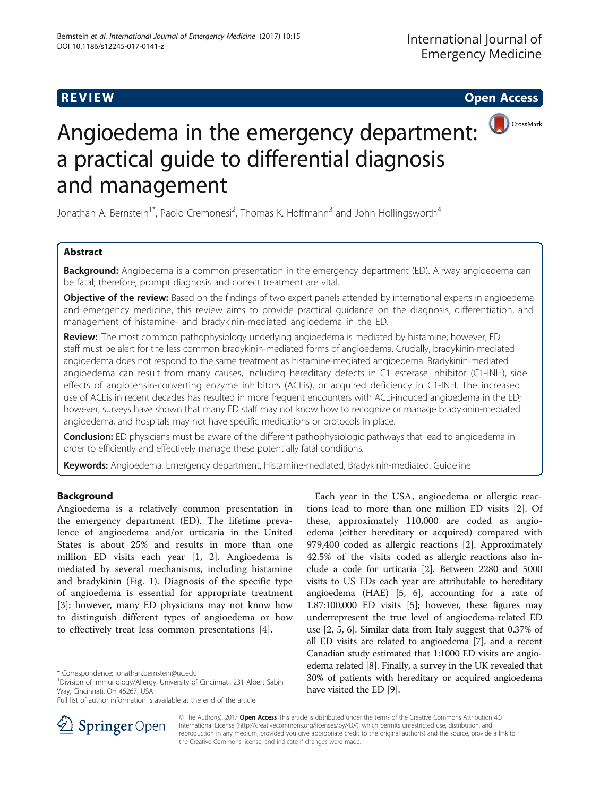



# Angioedema in the emergency department: a practical guide to differential diagnosis and management

Jonathan A. Bernstein<sup>1\*</sup>, Paolo Cremonesi<sup>2</sup>, Thomas K. Hoffmann<sup>3</sup> and John Hollingsworth<sup>4</sup>

# Abstract

**Background:** Angioedema is a common presentation in the emergency department (ED). Airway angioedema can be fatal; therefore, prompt diagnosis and correct treatment are vital.

Objective of the review: Based on the findings of two expert panels attended by international experts in angioedema and emergency medicine, this review aims to provide practical guidance on the diagnosis, differentiation, and management of histamine- and bradykinin-mediated angioedema in the ED.

Review: The most common pathophysiology underlying angioedema is mediated by histamine; however, ED staff must be alert for the less common bradykinin-mediated forms of angioedema. Crucially, bradykinin-mediated angioedema does not respond to the same treatment as histamine-mediated angioedema. Bradykinin-mediated angioedema can result from many causes, including hereditary defects in C1 esterase inhibitor (C1-INH), side effects of angiotensin-converting enzyme inhibitors (ACEis), or acquired deficiency in C1-INH. The increased use of ACEis in recent decades has resulted in more frequent encounters with ACEi-induced angioedema in the ED; however, surveys have shown that many ED staff may not know how to recognize or manage bradykinin-mediated angioedema, and hospitals may not have specific medications or protocols in place.

Conclusion: ED physicians must be aware of the different pathophysiologic pathways that lead to angioedema in order to efficiently and effectively manage these potentially fatal conditions.

Keywords: Angioedema, Emergency department, Histamine-mediated, Bradykinin-mediated, Guideline

## Background

Angioedema is a relatively common presentation in the emergency department (ED). The lifetime prevalence of angioedema and/or urticaria in the United States is about 25% and results in more than one million ED visits each year [[1, 2\]](#page-8-0). Angioedema is mediated by several mechanisms, including histamine and bradykinin (Fig. [1\)](#page-1-0). Diagnosis of the specific type of angioedema is essential for appropriate treatment [[3\]](#page-8-0); however, many ED physicians may not know how to distinguish different types of angioedema or how to effectively treat less common presentations [\[4](#page-8-0)].

**Springer** Open



© The Author(s). 2017 Open Access This article is distributed under the terms of the Creative Commons Attribution 4.0 International License ([http://creativecommons.org/licenses/by/4.0/\)](http://creativecommons.org/licenses/by/4.0/), which permits unrestricted use, distribution, and reproduction in any medium, provided you give appropriate credit to the original author(s) and the source, provide a link to the Creative Commons license, and indicate if changes were made.

<sup>\*</sup> Correspondence: [jonathan.bernstein@uc.edu](mailto:jonathan.bernstein@uc.edu) <sup>1</sup>

<sup>&</sup>lt;sup>1</sup> Division of Immunology/Allergy, University of Cincinnati, 231 Albert Sabin Way, Cincinnati, OH 45267, USA

Full list of author information is available at the end of the article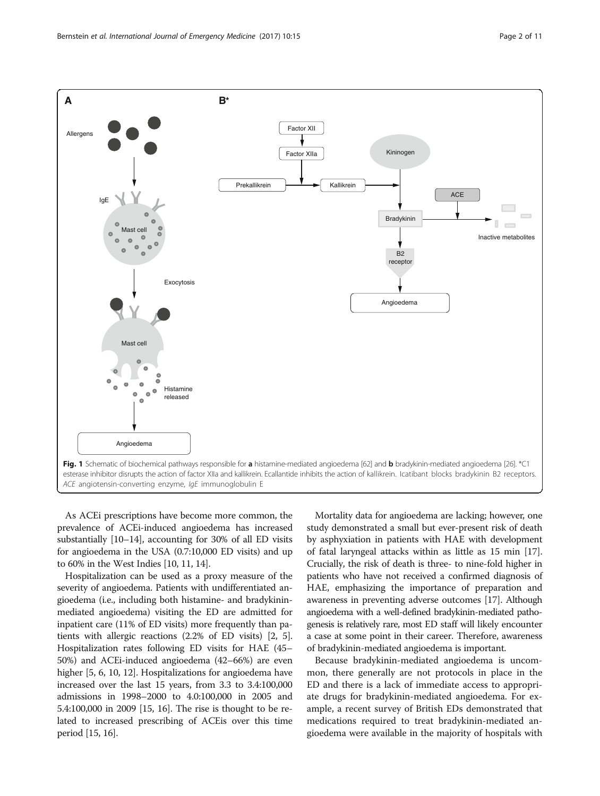<span id="page-1-0"></span>

As ACEi prescriptions have become more common, the prevalence of ACEi-induced angioedema has increased substantially [[10](#page-8-0)–[14\]](#page-8-0), accounting for 30% of all ED visits for angioedema in the USA (0.7:10,000 ED visits) and up to 60% in the West Indies [[10](#page-8-0), [11, 14\]](#page-8-0).

Hospitalization can be used as a proxy measure of the severity of angioedema. Patients with undifferentiated angioedema (i.e., including both histamine- and bradykininmediated angioedema) visiting the ED are admitted for inpatient care (11% of ED visits) more frequently than patients with allergic reactions (2.2% of ED visits) [[2](#page-8-0), [5](#page-8-0)]. Hospitalization rates following ED visits for HAE (45– 50%) and ACEi-induced angioedema (42–66%) are even higher [\[5](#page-8-0), [6, 10](#page-8-0), [12\]](#page-8-0). Hospitalizations for angioedema have increased over the last 15 years, from 3.3 to 3.4:100,000 admissions in 1998–2000 to 4.0:100,000 in 2005 and 5.4:100,000 in 2009 [\[15](#page-8-0), [16](#page-8-0)]. The rise is thought to be related to increased prescribing of ACEis over this time period [\[15, 16](#page-8-0)].

Mortality data for angioedema are lacking; however, one study demonstrated a small but ever-present risk of death by asphyxiation in patients with HAE with development of fatal laryngeal attacks within as little as 15 min [[17](#page-8-0)]. Crucially, the risk of death is three- to nine-fold higher in patients who have not received a confirmed diagnosis of HAE, emphasizing the importance of preparation and awareness in preventing adverse outcomes [\[17\]](#page-8-0). Although angioedema with a well-defined bradykinin-mediated pathogenesis is relatively rare, most ED staff will likely encounter a case at some point in their career. Therefore, awareness of bradykinin-mediated angioedema is important.

Because bradykinin-mediated angioedema is uncommon, there generally are not protocols in place in the ED and there is a lack of immediate access to appropriate drugs for bradykinin-mediated angioedema. For example, a recent survey of British EDs demonstrated that medications required to treat bradykinin-mediated angioedema were available in the majority of hospitals with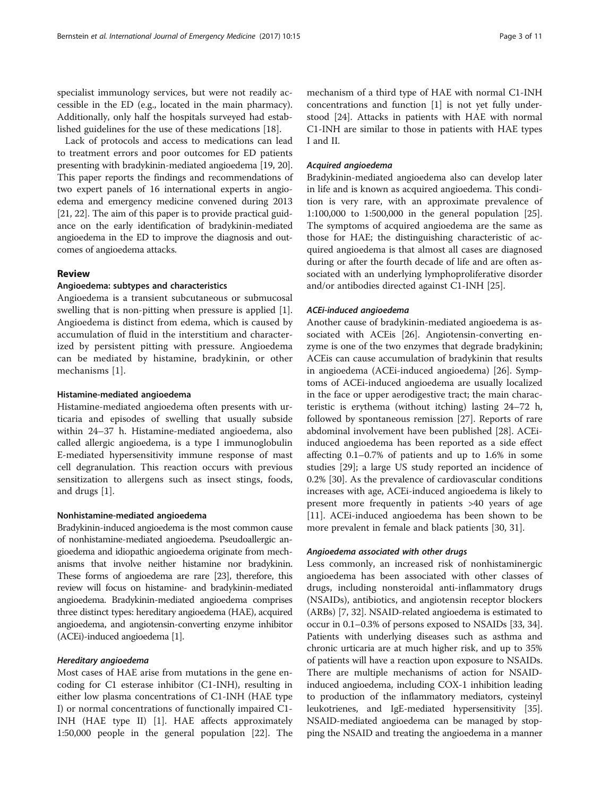specialist immunology services, but were not readily accessible in the ED (e.g., located in the main pharmacy). Additionally, only half the hospitals surveyed had established guidelines for the use of these medications [\[18](#page-9-0)].

Lack of protocols and access to medications can lead to treatment errors and poor outcomes for ED patients presenting with bradykinin-mediated angioedema [\[19, 20](#page-9-0)]. This paper reports the findings and recommendations of two expert panels of 16 international experts in angioedema and emergency medicine convened during 2013 [[21](#page-9-0), [22\]](#page-9-0). The aim of this paper is to provide practical guidance on the early identification of bradykinin-mediated angioedema in the ED to improve the diagnosis and outcomes of angioedema attacks.

#### Review

#### Angioedema: subtypes and characteristics

Angioedema is a transient subcutaneous or submucosal swelling that is non-pitting when pressure is applied [\[1](#page-8-0)]. Angioedema is distinct from edema, which is caused by accumulation of fluid in the interstitium and characterized by persistent pitting with pressure. Angioedema can be mediated by histamine, bradykinin, or other mechanisms [\[1](#page-8-0)].

#### Histamine-mediated angioedema

Histamine-mediated angioedema often presents with urticaria and episodes of swelling that usually subside within 24–37 h. Histamine-mediated angioedema, also called allergic angioedema, is a type I immunoglobulin E-mediated hypersensitivity immune response of mast cell degranulation. This reaction occurs with previous sensitization to allergens such as insect stings, foods, and drugs [\[1](#page-8-0)].

#### Nonhistamine-mediated angioedema

Bradykinin-induced angioedema is the most common cause of nonhistamine-mediated angioedema. Pseudoallergic angioedema and idiopathic angioedema originate from mechanisms that involve neither histamine nor bradykinin. These forms of angioedema are rare [\[23\]](#page-9-0), therefore, this review will focus on histamine- and bradykinin-mediated angioedema. Bradykinin-mediated angioedema comprises three distinct types: hereditary angioedema (HAE), acquired angioedema, and angiotensin-converting enzyme inhibitor (ACEi)-induced angioedema [\[1\]](#page-8-0).

#### Hereditary angioedema

Most cases of HAE arise from mutations in the gene encoding for C1 esterase inhibitor (C1-INH), resulting in either low plasma concentrations of C1-INH (HAE type I) or normal concentrations of functionally impaired C1- INH (HAE type II) [[1](#page-8-0)]. HAE affects approximately 1:50,000 people in the general population [[22\]](#page-9-0). The

mechanism of a third type of HAE with normal C1-INH concentrations and function [\[1\]](#page-8-0) is not yet fully understood [[24\]](#page-9-0). Attacks in patients with HAE with normal C1-INH are similar to those in patients with HAE types I and II.

#### Acquired angioedema

Bradykinin-mediated angioedema also can develop later in life and is known as acquired angioedema. This condition is very rare, with an approximate prevalence of 1:100,000 to 1:500,000 in the general population [\[25](#page-9-0)]. The symptoms of acquired angioedema are the same as those for HAE; the distinguishing characteristic of acquired angioedema is that almost all cases are diagnosed during or after the fourth decade of life and are often associated with an underlying lymphoproliferative disorder and/or antibodies directed against C1-INH [[25\]](#page-9-0).

#### ACEi-induced angioedema

Another cause of bradykinin-mediated angioedema is associated with ACEis [[26\]](#page-9-0). Angiotensin-converting enzyme is one of the two enzymes that degrade bradykinin; ACEis can cause accumulation of bradykinin that results in angioedema (ACEi-induced angioedema) [\[26\]](#page-9-0). Symptoms of ACEi-induced angioedema are usually localized in the face or upper aerodigestive tract; the main characteristic is erythema (without itching) lasting 24–72 h, followed by spontaneous remission [\[27\]](#page-9-0). Reports of rare abdominal involvement have been published [[28\]](#page-9-0). ACEiinduced angioedema has been reported as a side effect affecting 0.1–0.7% of patients and up to 1.6% in some studies [\[29](#page-9-0)]; a large US study reported an incidence of 0.2% [[30](#page-9-0)]. As the prevalence of cardiovascular conditions increases with age, ACEi-induced angioedema is likely to present more frequently in patients >40 years of age [[11\]](#page-8-0). ACEi-induced angioedema has been shown to be more prevalent in female and black patients [\[30, 31\]](#page-9-0).

#### Angioedema associated with other drugs

Less commonly, an increased risk of nonhistaminergic angioedema has been associated with other classes of drugs, including nonsteroidal anti-inflammatory drugs (NSAIDs), antibiotics, and angiotensin receptor blockers (ARBs) [\[7,](#page-8-0) [32](#page-9-0)]. NSAID-related angioedema is estimated to occur in 0.1–0.3% of persons exposed to NSAIDs [\[33, 34](#page-9-0)]. Patients with underlying diseases such as asthma and chronic urticaria are at much higher risk, and up to 35% of patients will have a reaction upon exposure to NSAIDs. There are multiple mechanisms of action for NSAIDinduced angioedema, including COX-1 inhibition leading to production of the inflammatory mediators, cysteinyl leukotrienes, and IgE-mediated hypersensitivity [[35](#page-9-0)]. NSAID-mediated angioedema can be managed by stopping the NSAID and treating the angioedema in a manner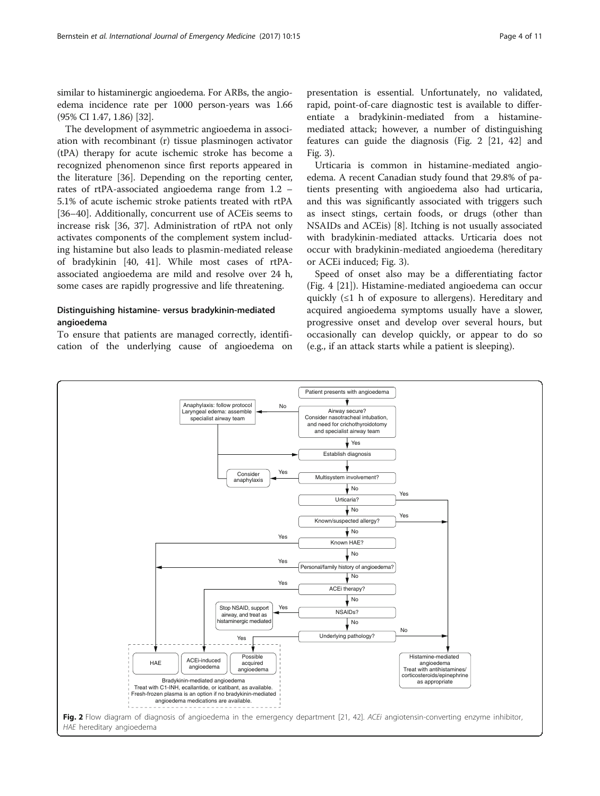similar to histaminergic angioedema. For ARBs, the angioedema incidence rate per 1000 person-years was 1.66 (95% CI 1.47, 1.86) [[32](#page-9-0)].

The development of asymmetric angioedema in association with recombinant (r) tissue plasminogen activator (tPA) therapy for acute ischemic stroke has become a recognized phenomenon since first reports appeared in the literature [\[36](#page-9-0)]. Depending on the reporting center, rates of rtPA-associated angioedema range from 1.2 – 5.1% of acute ischemic stroke patients treated with rtPA [[36](#page-9-0)–[40](#page-9-0)]. Additionally, concurrent use of ACEis seems to increase risk [[36, 37\]](#page-9-0). Administration of rtPA not only activates components of the complement system including histamine but also leads to plasmin-mediated release of bradykinin [[40](#page-9-0), [41](#page-9-0)]. While most cases of rtPAassociated angioedema are mild and resolve over 24 h, some cases are rapidly progressive and life threatening.

### Distinguishing histamine- versus bradykinin-mediated angioedema

To ensure that patients are managed correctly, identification of the underlying cause of angioedema on

presentation is essential. Unfortunately, no validated, rapid, point-of-care diagnostic test is available to differentiate a bradykinin-mediated from a histaminemediated attack; however, a number of distinguishing features can guide the diagnosis (Fig. 2 [[21](#page-9-0), [42\]](#page-9-0) and Fig. [3](#page-4-0)).

Urticaria is common in histamine-mediated angioedema. A recent Canadian study found that 29.8% of patients presenting with angioedema also had urticaria, and this was significantly associated with triggers such as insect stings, certain foods, or drugs (other than NSAIDs and ACEis) [\[8](#page-8-0)]. Itching is not usually associated with bradykinin-mediated attacks. Urticaria does not occur with bradykinin-mediated angioedema (hereditary or ACEi induced; Fig. [3\)](#page-4-0).

Speed of onset also may be a differentiating factor (Fig. [4](#page-4-0) [\[21](#page-9-0)]). Histamine-mediated angioedema can occur quickly (≤1 h of exposure to allergens). Hereditary and acquired angioedema symptoms usually have a slower, progressive onset and develop over several hours, but occasionally can develop quickly, or appear to do so (e.g., if an attack starts while a patient is sleeping).

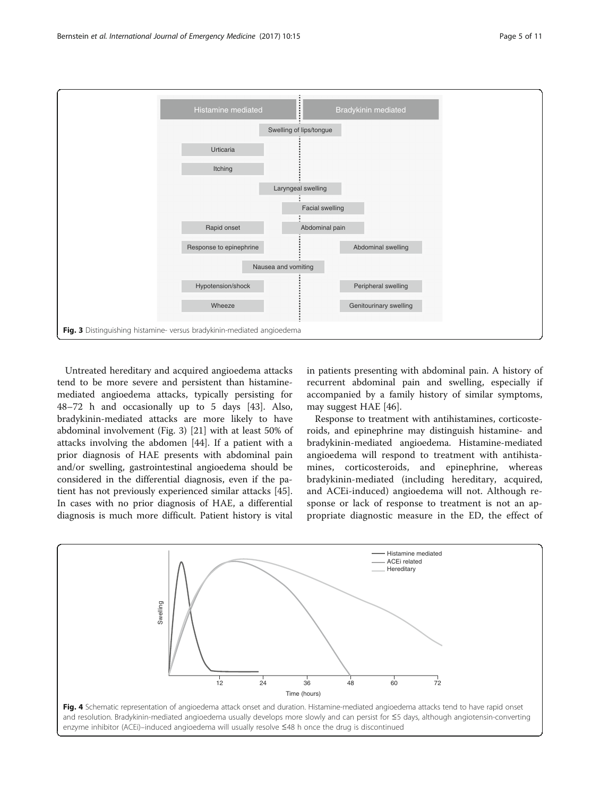<span id="page-4-0"></span>

Untreated hereditary and acquired angioedema attacks tend to be more severe and persistent than histaminemediated angioedema attacks, typically persisting for 48–72 h and occasionally up to 5 days [\[43](#page-9-0)]. Also, bradykinin-mediated attacks are more likely to have abdominal involvement (Fig. 3) [\[21](#page-9-0)] with at least 50% of attacks involving the abdomen [\[44\]](#page-9-0). If a patient with a prior diagnosis of HAE presents with abdominal pain and/or swelling, gastrointestinal angioedema should be considered in the differential diagnosis, even if the patient has not previously experienced similar attacks [\[45](#page-9-0)]. In cases with no prior diagnosis of HAE, a differential diagnosis is much more difficult. Patient history is vital

in patients presenting with abdominal pain. A history of recurrent abdominal pain and swelling, especially if accompanied by a family history of similar symptoms, may suggest HAE [[46\]](#page-9-0).

Response to treatment with antihistamines, corticosteroids, and epinephrine may distinguish histamine- and bradykinin-mediated angioedema. Histamine-mediated angioedema will respond to treatment with antihistamines, corticosteroids, and epinephrine, whereas bradykinin-mediated (including hereditary, acquired, and ACEi-induced) angioedema will not. Although response or lack of response to treatment is not an appropriate diagnostic measure in the ED, the effect of

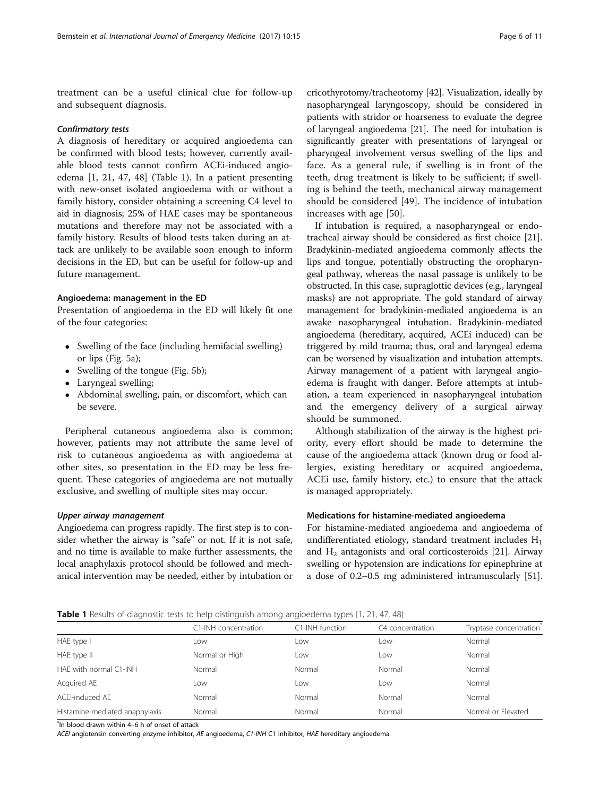treatment can be a useful clinical clue for follow-up and subsequent diagnosis.

#### Confirmatory tests

A diagnosis of hereditary or acquired angioedema can be confirmed with blood tests; however, currently available blood tests cannot confirm ACEi-induced angioedema [\[1](#page-8-0), [21](#page-9-0), [47](#page-9-0), [48](#page-9-0)] (Table 1). In a patient presenting with new-onset isolated angioedema with or without a family history, consider obtaining a screening C4 level to aid in diagnosis; 25% of HAE cases may be spontaneous mutations and therefore may not be associated with a family history. Results of blood tests taken during an attack are unlikely to be available soon enough to inform decisions in the ED, but can be useful for follow-up and future management.

#### Angioedema: management in the ED

Presentation of angioedema in the ED will likely fit one of the four categories:

- Swelling of the face (including hemifacial swelling) or lips (Fig. [5a](#page-6-0));
- Swelling of the tongue (Fig. [5b](#page-6-0));
- Laryngeal swelling;
- Abdominal swelling, pain, or discomfort, which can be severe.

Peripheral cutaneous angioedema also is common; however, patients may not attribute the same level of risk to cutaneous angioedema as with angioedema at other sites, so presentation in the ED may be less frequent. These categories of angioedema are not mutually exclusive, and swelling of multiple sites may occur.

#### Upper airway management

Angioedema can progress rapidly. The first step is to consider whether the airway is "safe" or not. If it is not safe, and no time is available to make further assessments, the local anaphylaxis protocol should be followed and mechanical intervention may be needed, either by intubation or

cricothyrotomy/tracheotomy [\[42\]](#page-9-0). Visualization, ideally by nasopharyngeal laryngoscopy, should be considered in patients with stridor or hoarseness to evaluate the degree of laryngeal angioedema [[21](#page-9-0)]. The need for intubation is significantly greater with presentations of laryngeal or pharyngeal involvement versus swelling of the lips and face. As a general rule, if swelling is in front of the teeth, drug treatment is likely to be sufficient; if swelling is behind the teeth, mechanical airway management should be considered [\[49](#page-9-0)]. The incidence of intubation increases with age [[50\]](#page-9-0).

If intubation is required, a nasopharyngeal or endotracheal airway should be considered as first choice [\[21](#page-9-0)]. Bradykinin-mediated angioedema commonly affects the lips and tongue, potentially obstructing the oropharyngeal pathway, whereas the nasal passage is unlikely to be obstructed. In this case, supraglottic devices (e.g., laryngeal masks) are not appropriate. The gold standard of airway management for bradykinin-mediated angioedema is an awake nasopharyngeal intubation. Bradykinin-mediated angioedema (hereditary, acquired, ACEi induced) can be triggered by mild trauma; thus, oral and laryngeal edema can be worsened by visualization and intubation attempts. Airway management of a patient with laryngeal angioedema is fraught with danger. Before attempts at intubation, a team experienced in nasopharyngeal intubation and the emergency delivery of a surgical airway should be summoned.

Although stabilization of the airway is the highest priority, every effort should be made to determine the cause of the angioedema attack (known drug or food allergies, existing hereditary or acquired angioedema, ACEi use, family history, etc.) to ensure that the attack is managed appropriately.

#### Medications for histamine-mediated angioedema

For histamine-mediated angioedema and angioedema of undifferentiated etiology, standard treatment includes  $H_1$ and  $H_2$  antagonists and oral corticosteroids [\[21](#page-9-0)]. Airway swelling or hypotension are indications for epinephrine at a dose of 0.2–0.5 mg administered intramuscularly [[51](#page-9-0)].

| <b>Table 1</b> Results of diagnostic tests to help distinguish among angioedema types [1, 21, 47, 48] |  |  |
|-------------------------------------------------------------------------------------------------------|--|--|
|                                                                                                       |  |  |

|                                | C1-INH concentration | C1-INH function | C4 concentration | Tryptase concentration |
|--------------------------------|----------------------|-----------------|------------------|------------------------|
| HAE type I                     | Low                  | LOW             | Low              | Normal                 |
| HAE type II                    | Normal or High       | Low             | Low              | Normal                 |
| HAE with normal C1-INH         | Normal               | Normal          | Normal           | Normal                 |
| Acquired AE                    | Low                  | Low             | Low              | Normal                 |
| ACFI-induced AF                | Normal               | Normal          | Normal           | Normal                 |
| Histamine-mediated anaphylaxis | Normal               | Normal          | Normal           | Normal or Elevated     |

\* In blood drawn within 4–6 h of onset of attack

ACEI angiotensin converting enzyme inhibitor, AE angioedema, C1-INH C1 inhibitor, HAE hereditary angioedema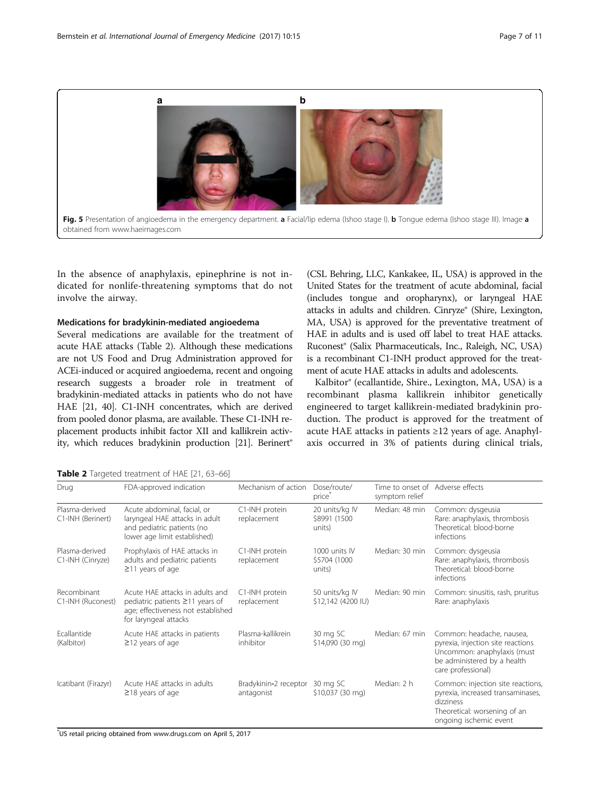<span id="page-6-0"></span>

In the absence of anaphylaxis, epinephrine is not indicated for nonlife-threatening symptoms that do not involve the airway.

#### Medications for bradykinin-mediated angioedema

Several medications are available for the treatment of acute HAE attacks (Table 2). Although these medications are not US Food and Drug Administration approved for ACEi-induced or acquired angioedema, recent and ongoing research suggests a broader role in treatment of bradykinin-mediated attacks in patients who do not have HAE [[21](#page-9-0), [40\]](#page-9-0). C1-INH concentrates, which are derived from pooled donor plasma, are available. These C1-INH replacement products inhibit factor XII and kallikrein activ-ity, which reduces bradykinin production [\[21\]](#page-9-0). Berinert®

(CSL Behring, LLC, Kankakee, IL, USA) is approved in the United States for the treatment of acute abdominal, facial (includes tongue and oropharynx), or laryngeal HAE attacks in adults and children. Cinryze® (Shire, Lexington, MA, USA) is approved for the preventative treatment of HAE in adults and is used off label to treat HAE attacks. Ruconest® (Salix Pharmaceuticals, Inc., Raleigh, NC, USA) is a recombinant C1-INH product approved for the treatment of acute HAE attacks in adults and adolescents.

Kalbitor® (ecallantide, Shire., Lexington, MA, USA) is a recombinant plasma kallikrein inhibitor genetically engineered to target kallikrein-mediated bradykinin production. The product is approved for the treatment of acute HAE attacks in patients ≥12 years of age. Anaphylaxis occurred in 3% of patients during clinical trials,

|  |  | Table 2 Targeted treatment of HAE [21, 63-66] |  |  |  |
|--|--|-----------------------------------------------|--|--|--|
|--|--|-----------------------------------------------|--|--|--|

| Drug                                | FDA-approved indication                                                                                                                 | Mechanism of action                 | Dose/route/<br>price                     | Time to onset of Adverse effects<br>symptom relief |                                                                                                                                                    |
|-------------------------------------|-----------------------------------------------------------------------------------------------------------------------------------------|-------------------------------------|------------------------------------------|----------------------------------------------------|----------------------------------------------------------------------------------------------------------------------------------------------------|
| Plasma-derived<br>C1-INH (Berinert) | Acute abdominal, facial, or<br>laryngeal HAE attacks in adult<br>and pediatric patients (no<br>lower age limit established)             | C1-INH protein<br>replacement       | 20 units/kg IV<br>\$8991 (1500<br>units) | Median: 48 min                                     | Common: dysgeusia<br>Rare: anaphylaxis, thrombosis<br>Theoretical: blood-borne<br>infections                                                       |
| Plasma-derived<br>C1-INH (Cinryze)  | Prophylaxis of HAE attacks in<br>adults and pediatric patients<br>$\geq$ 11 years of age                                                | C1-INH protein<br>replacement       | 1000 units IV<br>\$5704 (1000<br>units)  | Median: 30 min                                     | Common: dysgeusia<br>Rare: anaphylaxis, thrombosis<br>Theoretical: blood-borne<br>infections                                                       |
| Recombinant<br>C1-INH (Ruconest)    | Acute HAE attacks in adults and<br>pediatric patients $\geq$ 11 years of<br>age; effectiveness not established<br>for laryngeal attacks | C1-INH protein<br>replacement       | 50 units/kg IV<br>\$12,142 (4200 IU)     | Median: 90 min                                     | Common: sinusitis, rash, pruritus<br>Rare: anaphylaxis                                                                                             |
| Ecallantide<br>(Kalbitor)           | Acute HAE attacks in patients<br>$\ge$ 12 years of age                                                                                  | Plasma-kallikrein<br>inhibitor      | 30 mg SC<br>\$14,090 (30 mg)             | Median: 67 min                                     | Common: headache, nausea,<br>pyrexia, injection site reactions<br>Uncommon: anaphylaxis (must<br>be administered by a health<br>care professional) |
| Icatibant (Firazyr)                 | Acute HAE attacks in adults<br>$\geq$ 18 years of age                                                                                   | Bradykinin-2 receptor<br>antagonist | 30 mg SC<br>\$10,037 (30 mg)             | Median: 2 h                                        | Common: injection site reactions,<br>pyrexia, increased transaminases,<br>dizziness<br>Theoretical: worsening of an<br>ongoing ischemic event      |

\* US retail pricing obtained from [www.drugs.com](http://www.drugs.com/) on April 5, 2017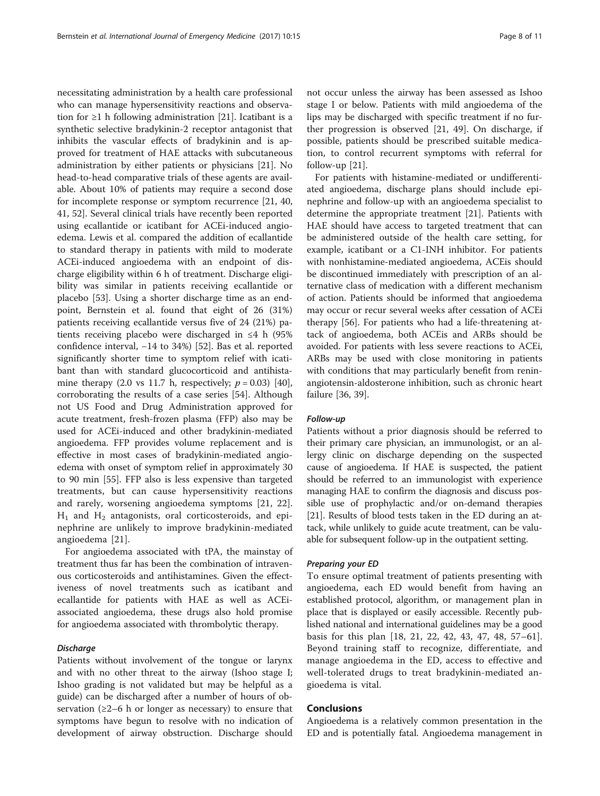necessitating administration by a health care professional who can manage hypersensitivity reactions and observation for ≥1 h following administration [\[21](#page-9-0)]. Icatibant is a synthetic selective bradykinin-2 receptor antagonist that inhibits the vascular effects of bradykinin and is approved for treatment of HAE attacks with subcutaneous administration by either patients or physicians [[21\]](#page-9-0). No head-to-head comparative trials of these agents are available. About 10% of patients may require a second dose for incomplete response or symptom recurrence [\[21](#page-9-0), [40](#page-9-0), [41, 52](#page-9-0)]. Several clinical trials have recently been reported using ecallantide or icatibant for ACEi-induced angioedema. Lewis et al. compared the addition of ecallantide to standard therapy in patients with mild to moderate ACEi-induced angioedema with an endpoint of discharge eligibility within 6 h of treatment. Discharge eligibility was similar in patients receiving ecallantide or placebo [[53\]](#page-9-0). Using a shorter discharge time as an endpoint, Bernstein et al. found that eight of 26 (31%) patients receiving ecallantide versus five of 24 (21%) patients receiving placebo were discharged in ≤4 h (95% confidence interval, −14 to 34%) [[52\]](#page-9-0). Bas et al. reported significantly shorter time to symptom relief with icatibant than with standard glucocorticoid and antihistamine therapy (2.0 vs 11.7 h, respectively;  $p = 0.03$ ) [\[40](#page-9-0)], corroborating the results of a case series [\[54](#page-9-0)]. Although not US Food and Drug Administration approved for acute treatment, fresh-frozen plasma (FFP) also may be used for ACEi-induced and other bradykinin-mediated angioedema. FFP provides volume replacement and is effective in most cases of bradykinin-mediated angioedema with onset of symptom relief in approximately 30 to 90 min [[55](#page-9-0)]. FFP also is less expensive than targeted treatments, but can cause hypersensitivity reactions and rarely, worsening angioedema symptoms [\[21](#page-9-0), [22](#page-9-0)].  $H_1$  and  $H_2$  antagonists, oral corticosteroids, and epinephrine are unlikely to improve bradykinin-mediated angioedema [[21\]](#page-9-0).

For angioedema associated with tPA, the mainstay of treatment thus far has been the combination of intravenous corticosteroids and antihistamines. Given the effectiveness of novel treatments such as icatibant and ecallantide for patients with HAE as well as ACEiassociated angioedema, these drugs also hold promise for angioedema associated with thrombolytic therapy.

#### Discharge

Patients without involvement of the tongue or larynx and with no other threat to the airway (Ishoo stage I; Ishoo grading is not validated but may be helpful as a guide) can be discharged after a number of hours of observation  $(≥2–6 h or longer as necessary) to ensure that$ symptoms have begun to resolve with no indication of development of airway obstruction. Discharge should not occur unless the airway has been assessed as Ishoo stage I or below. Patients with mild angioedema of the lips may be discharged with specific treatment if no further progression is observed [[21](#page-9-0), [49](#page-9-0)]. On discharge, if possible, patients should be prescribed suitable medication, to control recurrent symptoms with referral for follow-up [\[21\]](#page-9-0).

For patients with histamine-mediated or undifferentiated angioedema, discharge plans should include epinephrine and follow-up with an angioedema specialist to determine the appropriate treatment [\[21\]](#page-9-0). Patients with HAE should have access to targeted treatment that can be administered outside of the health care setting, for example, icatibant or a C1-INH inhibitor. For patients with nonhistamine-mediated angioedema, ACEis should be discontinued immediately with prescription of an alternative class of medication with a different mechanism of action. Patients should be informed that angioedema may occur or recur several weeks after cessation of ACEi therapy [\[56\]](#page-9-0). For patients who had a life-threatening attack of angioedema, both ACEis and ARBs should be avoided. For patients with less severe reactions to ACEi, ARBs may be used with close monitoring in patients with conditions that may particularly benefit from reninangiotensin-aldosterone inhibition, such as chronic heart failure [[36](#page-9-0), [39](#page-9-0)].

#### Follow-up

Patients without a prior diagnosis should be referred to their primary care physician, an immunologist, or an allergy clinic on discharge depending on the suspected cause of angioedema. If HAE is suspected, the patient should be referred to an immunologist with experience managing HAE to confirm the diagnosis and discuss possible use of prophylactic and/or on-demand therapies [[21](#page-9-0)]. Results of blood tests taken in the ED during an attack, while unlikely to guide acute treatment, can be valuable for subsequent follow-up in the outpatient setting.

#### Preparing your ED

To ensure optimal treatment of patients presenting with angioedema, each ED would benefit from having an established protocol, algorithm, or management plan in place that is displayed or easily accessible. Recently published national and international guidelines may be a good basis for this plan [[18, 21](#page-9-0), [22](#page-9-0), [42, 43](#page-9-0), [47, 48, 57](#page-9-0)–[61](#page-9-0)]. Beyond training staff to recognize, differentiate, and manage angioedema in the ED, access to effective and well-tolerated drugs to treat bradykinin-mediated angioedema is vital.

#### Conclusions

Angioedema is a relatively common presentation in the ED and is potentially fatal. Angioedema management in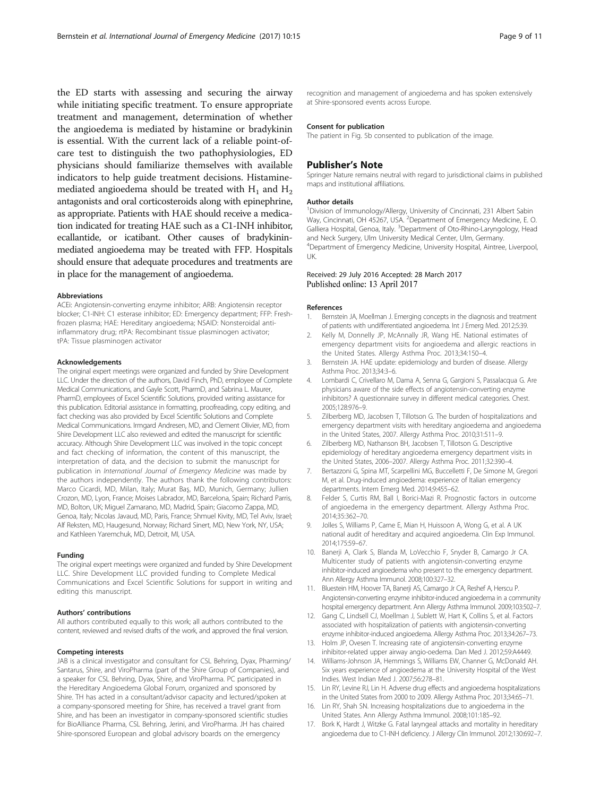<span id="page-8-0"></span>the ED starts with assessing and securing the airway while initiating specific treatment. To ensure appropriate treatment and management, determination of whether the angioedema is mediated by histamine or bradykinin is essential. With the current lack of a reliable point-ofcare test to distinguish the two pathophysiologies, ED physicians should familiarize themselves with available indicators to help guide treatment decisions. Histaminemediated angioedema should be treated with  $H_1$  and  $H_2$ antagonists and oral corticosteroids along with epinephrine, as appropriate. Patients with HAE should receive a medication indicated for treating HAE such as a C1-INH inhibitor, ecallantide, or icatibant. Other causes of bradykininmediated angioedema may be treated with FFP. Hospitals should ensure that adequate procedures and treatments are in place for the management of angioedema.

#### Abbreviations

ACEi: Angiotensin-converting enzyme inhibitor; ARB: Angiotensin receptor blocker; C1-INH: C1 esterase inhibitor; ED: Emergency department; FFP: Freshfrozen plasma; HAE: Hereditary angioedema; NSAID: Nonsteroidal antiinflammatory drug; rtPA: Recombinant tissue plasminogen activator; tPA: Tissue plasminogen activator

#### Acknowledgements

The original expert meetings were organized and funded by Shire Development LLC. Under the direction of the authors, David Finch, PhD, employee of Complete Medical Communications, and Gayle Scott, PharmD, and Sabrina L. Maurer, PharmD, employees of Excel Scientific Solutions, provided writing assistance for this publication. Editorial assistance in formatting, proofreading, copy editing, and fact checking was also provided by Excel Scientific Solutions and Complete Medical Communications. Irmgard Andresen, MD, and Clement Olivier, MD, from Shire Development LLC also reviewed and edited the manuscript for scientific accuracy. Although Shire Development LLC was involved in the topic concept and fact checking of information, the content of this manuscript, the interpretation of data, and the decision to submit the manuscript for publication in International Journal of Emergency Medicine was made by the authors independently. The authors thank the following contributors: Marco Cicardi, MD, Milan, Italy; Murat Baş, MD, Munich, Germany; Jullien Crozon, MD, Lyon, France; Moises Labrador, MD, Barcelona, Spain; Richard Parris, MD, Bolton, UK; Miguel Zamarano, MD, Madrid, Spain; Giacomo Zappa, MD, Genoa, Italy; Nicolas Javaud, MD, Paris, France; Shmuel Kivity, MD, Tel Aviv, Israel; Alf Reksten, MD, Haugesund, Norway; Richard Sinert, MD, New York, NY, USA; and Kathleen Yaremchuk, MD, Detroit, MI, USA.

#### Funding

The original expert meetings were organized and funded by Shire Development LLC. Shire Development LLC provided funding to Complete Medical Communications and Excel Scientific Solutions for support in writing and editing this manuscript.

#### Authors' contributions

All authors contributed equally to this work; all authors contributed to the content, reviewed and revised drafts of the work, and approved the final version.

#### Competing interests

JAB is a clinical investigator and consultant for CSL Behring, Dyax, Pharming/ Santarus, Shire, and ViroPharma (part of the Shire Group of Companies), and a speaker for CSL Behring, Dyax, Shire, and ViroPharma. PC participated in the Hereditary Angioedema Global Forum, organized and sponsored by Shire. TH has acted in a consultant/advisor capacity and lectured/spoken at a company-sponsored meeting for Shire, has received a travel grant from Shire, and has been an investigator in company-sponsored scientific studies for BioAlliance Pharma, CSL Behring, Jerini, and ViroPharma. JH has chaired Shire-sponsored European and global advisory boards on the emergency

recognition and management of angioedema and has spoken extensively at Shire-sponsored events across Europe.

#### Consent for publication

The patient in Fig. [5b](#page-6-0) consented to publication of the image.

#### Publisher's Note

Springer Nature remains neutral with regard to jurisdictional claims in published maps and institutional affiliations.

#### Author details

<sup>1</sup> Division of Immunology/Allergy, University of Cincinnati, 231 Albert Sabin Way, Cincinnati, OH 45267, USA. <sup>2</sup> Department of Emergency Medicine, E. O. Galliera Hospital, Genoa, Italy. <sup>3</sup>Department of Oto-Rhino-Laryngology, Head and Neck Surgery, Ulm University Medical Center, Ulm, Germany. 4 Department of Emergency Medicine, University Hospital, Aintree, Liverpool, UK.

#### Received: 29 July 2016 Accepted: 28 March 2017 Published online: 13 April 2017

#### References

- Bernstein JA, Moellman J. Emerging concepts in the diagnosis and treatment of patients with undifferentiated angioedema. Int J Emerg Med. 2012;5:39.
- 2. Kelly M, Donnelly JP, McAnnally JR, Wang HE. National estimates of emergency department visits for angioedema and allergic reactions in the United States. Allergy Asthma Proc. 2013;34:150–4.
- 3. Bernstein JA. HAE update: epidemiology and burden of disease. Allergy Asthma Proc. 2013;34:3–6.
- 4. Lombardi C, Crivellaro M, Dama A, Senna G, Gargioni S, Passalacqua G. Are physicians aware of the side effects of angiotensin-converting enzyme inhibitors? A questionnaire survey in different medical categories. Chest. 2005;128:976–9.
- 5. Zilberberg MD, Jacobsen T, Tillotson G. The burden of hospitalizations and emergency department visits with hereditary angioedema and angioedema in the United States, 2007. Allergy Asthma Proc. 2010;31:511–9.
- 6. Zilberberg MD, Nathanson BH, Jacobsen T, Tillotson G. Descriptive epidemiology of hereditary angioedema emergency department visits in the United States, 2006–2007. Allergy Asthma Proc. 2011;32:390–4.
- 7. Bertazzoni G, Spina MT, Scarpellini MG, Buccelletti F, De Simone M, Gregori M, et al. Drug-induced angioedema: experience of Italian emergency departments. Intern Emerg Med. 2014;9:455–62.
- 8. Felder S, Curtis RM, Ball I, Borici-Mazi R. Prognostic factors in outcome of angioedema in the emergency department. Allergy Asthma Proc. 2014;35:362–70.
- 9. Jolles S, Williams P, Carne E, Mian H, Huissoon A, Wong G, et al. A UK national audit of hereditary and acquired angioedema. Clin Exp Immunol. 2014;175:59–67.
- 10. Banerji A, Clark S, Blanda M, LoVecchio F, Snyder B, Camargo Jr CA. Multicenter study of patients with angiotensin-converting enzyme inhibitor-induced angioedema who present to the emergency department. Ann Allergy Asthma Immunol. 2008;100:327–32.
- 11. Bluestein HM, Hoover TA, Banerji AS, Camargo Jr CA, Reshef A, Herscu P. Angiotensin-converting enzyme inhibitor-induced angioedema in a community hospital emergency department. Ann Allergy Asthma Immunol. 2009;103:502–7.
- 12. Gang C, Lindsell CJ, Moellman J, Sublett W, Hart K, Collins S, et al. Factors associated with hospitalization of patients with angiotensin-converting enzyme inhibitor-induced angioedema. Allergy Asthma Proc. 2013;34:267–73.
- 13. Holm JP, Ovesen T. Increasing rate of angiotensin-converting enzyme inhibitor-related upper airway angio-oedema. Dan Med J. 2012;59:A4449.
- 14. Williams-Johnson JA, Hemmings S, Williams EW, Channer G, McDonald AH. Six years experience of angioedema at the University Hospital of the West Indies. West Indian Med J. 2007;56:278–81.
- 15. Lin RY, Levine RJ, Lin H. Adverse drug effects and angioedema hospitalizations in the United States from 2000 to 2009. Allergy Asthma Proc. 2013;34:65–71.
- 16. Lin RY, Shah SN. Increasing hospitalizations due to angioedema in the United States. Ann Allergy Asthma Immunol. 2008;101:185–92.
- 17. Bork K, Hardt J, Witzke G. Fatal laryngeal attacks and mortality in hereditary angioedema due to C1-INH deficiency. J Allergy Clin Immunol. 2012;130:692–7.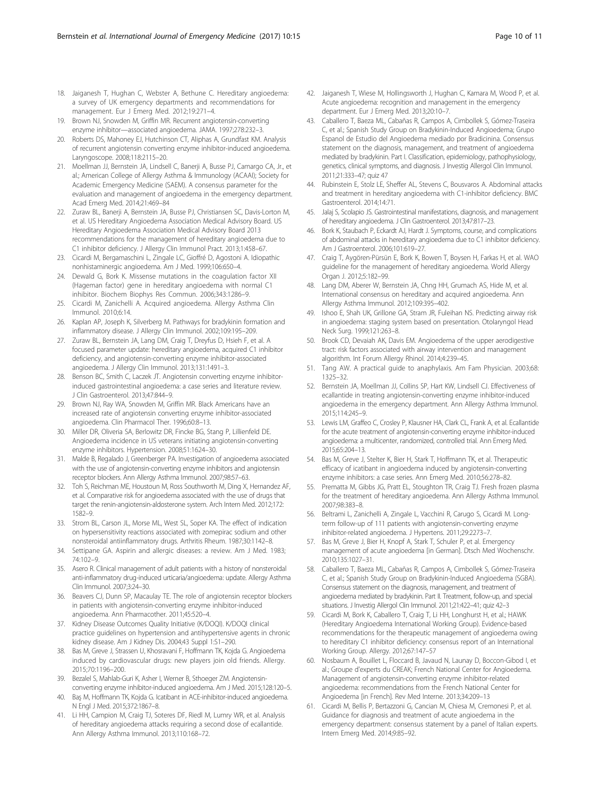- <span id="page-9-0"></span>18. Jaiganesh T, Hughan C, Webster A, Bethune C. Hereditary angioedema: a survey of UK emergency departments and recommendations for management. Eur J Emerg Med. 2012;19:271–4.
- 19. Brown NJ, Snowden M, Griffin MR. Recurrent angiotensin-converting enzyme inhibitor—associated angioedema. JAMA. 1997;278:232–3.
- 20. Roberts DS, Mahoney EJ, Hutchinson CT, Aliphas A, Grundfast KM. Analysis of recurrent angiotensin converting enzyme inhibitor-induced angioedema. Laryngoscope. 2008;118:2115–20.
- 21. Moellman JJ, Bernstein JA, Lindsell C, Banerji A, Busse PJ, Camargo CA, Jr., et al.; American College of Allergy Asthma & Immunology (ACAAI); Society for Academic Emergency Medicine (SAEM). A consensus parameter for the evaluation and management of angioedema in the emergency department. Acad Emerg Med. 2014;21:469–84
- 22. Zuraw BL, Banerji A, Bernstein JA, Busse PJ, Christiansen SC, Davis-Lorton M, et al. US Hereditary Angioedema Association Medical Advisory Board. US Hereditary Angioedema Association Medical Advisory Board 2013 recommendations for the management of hereditary angioedema due to C1 inhibitor deficiency. J Allergy Clin Immunol Pract. 2013;1:458–67.
- 23. Cicardi M, Bergamaschini L, Zingale LC, Gioffré D, Agostoni A. Idiopathic nonhistaminergic angioedema. Am J Med. 1999;106:650–4.
- 24. Dewald G, Bork K. Missense mutations in the coagulation factor XII (Hageman factor) gene in hereditary angioedema with normal C1 inhibitor. Biochem Biophys Res Commun. 2006;343:1286–9.
- 25. Cicardi M, Zanichelli A. Acquired angioedema. Allergy Asthma Clin Immunol. 2010;6:14.
- 26. Kaplan AP, Joseph K, Silverberg M. Pathways for bradykinin formation and inflammatory disease. J Allergy Clin Immunol. 2002;109:195–209.
- 27. Zuraw BL, Bernstein JA, Lang DM, Craig T, Dreyfus D, Hsieh F, et al. A focused parameter update: hereditary angioedema, acquired C1 inhibitor deficiency, and angiotensin-converting enzyme inhibitor-associated angioedema. J Allergy Clin Immunol. 2013;131:1491–3.
- 28. Benson BC, Smith C, Laczek JT. Angiotensin converting enzyme inhibitorinduced gastrointestinal angioedema: a case series and literature review. J Clin Gastroenterol. 2013;47:844–9.
- 29. Brown NJ, Ray WA, Snowden M, Griffin MR. Black Americans have an increased rate of angiotensin converting enzyme inhibitor-associated angioedema. Clin Pharmacol Ther. 1996;60:8–13.
- 30. Miller DR, Oliveria SA, Berlowitz DR, Fincke BG, Stang P, Lillienfeld DE. Angioedema incidence in US veterans initiating angiotensin-converting enzyme inhibitors. Hypertension. 2008;51:1624–30.
- 31. Malde B, Regalado J, Greenberger PA. Investigation of angioedema associated with the use of angiotensin-converting enzyme inhibitors and angiotensin receptor blockers. Ann Allergy Asthma Immunol. 2007;98:57–63.
- 32. Toh S, Reichman ME, Houstoun M, Ross Southworth M, Ding X, Hernandez AF, et al. Comparative risk for angioedema associated with the use of drugs that target the renin-angiotensin-aldosterone system. Arch Intern Med. 2012;172: 1582–9.
- 33. Strom BL, Carson JL, Morse ML, West SL, Soper KA. The effect of indication on hypersensitivity reactions associated with zomepirac sodium and other nonsteroidal antiinflammatory drugs. Arthritis Rheum. 1987;30:1142–8.
- 34. Settipane GA. Aspirin and allergic diseases: a review. Am J Med. 1983; 74:102–9.
- 35. Asero R. Clinical management of adult patients with a history of nonsteroidal anti-inflammatory drug-induced urticaria/angioedema: update. Allergy Asthma Clin Immunol. 2007;3:24–30.
- 36. Beavers CJ, Dunn SP, Macaulay TE. The role of angiotensin receptor blockers in patients with angiotensin-converting enzyme inhibitor-induced angioedema. Ann Pharmacother. 2011;45:520–4.
- 37. Kidney Disease Outcomes Quality Initiative (K/DOQI). K/DOQI clinical practice guidelines on hypertension and antihypertensive agents in chronic kidney disease. Am J Kidney Dis. 2004;43 Suppl 1:S1–290.
- 38. Bas M, Greve J, Strassen U, Khosravani F, Hoffmann TK, Kojda G. Angioedema induced by cardiovascular drugs: new players join old friends. Allergy. 2015;70:1196–200.
- 39. Bezalel S, Mahlab-Guri K, Asher I, Werner B, Sthoeger ZM. Angiotensinconverting enzyme inhibitor-induced angioedema. Am J Med. 2015;128:120–5.
- 40. Baş M, Hoffmann TK, Kojda G. Icatibant in ACE-inhibitor-induced angioedema. N Engl J Med. 2015;372:1867–8.
- 41. Li HH, Campion M, Craig TJ, Soteres DF, Riedl M, Lumry WR, et al. Analysis of hereditary angioedema attacks requiring a second dose of ecallantide. Ann Allergy Asthma Immunol. 2013;110:168–72.
- 42. Jaiganesh T, Wiese M, Hollingsworth J, Hughan C, Kamara M, Wood P, et al. Acute angioedema: recognition and management in the emergency department. Eur J Emerg Med. 2013;20:10–7.
- 43. Caballero T, Baeza ML, Cabañas R, Campos A, Cimbollek S, Gómez-Traseira C, et al.; Spanish Study Group on Bradykinin-Induced Angioedema; Grupo Espanol de Estudio del Angioedema mediado por Bradicinina. Consensus statement on the diagnosis, management, and treatment of angioedema mediated by bradykinin. Part I. Classification, epidemiology, pathophysiology, genetics, clinical symptoms, and diagnosis. J Investig Allergol Clin Immunol. 2011;21:333–47; quiz 47
- 44. Rubinstein E, Stolz LE, Sheffer AL, Stevens C, Bousvaros A. Abdominal attacks and treatment in hereditary angioedema with C1-inhibitor deficiency. BMC Gastroenterol. 2014;14:71.
- 45. Jalaj S, Scolapio JS. Gastrointestinal manifestations, diagnosis, and management of hereditary angioedema. J Clin Gastroenterol. 2013;47:817–23.
- 46. Bork K, Staubach P, Eckardt AJ, Hardt J. Symptoms, course, and complications of abdominal attacks in hereditary angioedema due to C1 inhibitor deficiency. Am J Gastroenterol. 2006;101:619–27.
- 47. Craig T, Aygören-Pürsün E, Bork K, Bowen T, Boysen H, Farkas H, et al. WAO guideline for the management of hereditary angioedema. World Allergy Organ J. 2012;5:182–99.
- 48. Lang DM, Aberer W, Bernstein JA, Chng HH, Grumach AS, Hide M, et al. International consensus on hereditary and acquired angioedema. Ann Allergy Asthma Immunol. 2012;109:395–402.
- 49. Ishoo E, Shah UK, Grillone GA, Stram JR, Fuleihan NS. Predicting airway risk in angioedema: staging system based on presentation. Otolaryngol Head Neck Surg. 1999;121:263–8.
- 50. Brook CD, Devaiah AK, Davis EM. Angioedema of the upper aerodigestive tract: risk factors associated with airway intervention and management algorithm. Int Forum Allergy Rhinol. 2014;4:239–45.
- 51. Tang AW. A practical guide to anaphylaxis. Am Fam Physician. 2003;68: 1325–32.
- 52. Bernstein JA, Moellman JJ, Collins SP, Hart KW, Lindsell CJ. Effectiveness of ecallantide in treating angiotensin-converting enzyme inhibitor-induced angioedema in the emergency department. Ann Allergy Asthma Immunol. 2015;114:245–9.
- 53. Lewis LM, Graffeo C, Crosley P, Klausner HA, Clark CL, Frank A, et al. Ecallantide for the acute treatment of angiotensin-converting enzyme inhibitor-induced angioedema: a multicenter, randomized, controlled trial. Ann Emerg Med. 2015;65:204–13.
- 54. Bas M, Greve J, Stelter K, Bier H, Stark T, Hoffmann TK, et al. Therapeutic efficacy of icatibant in angioedema induced by angiotensin-converting enzyme inhibitors: a case series. Ann Emerg Med. 2010;56:278–82.
- 55. Prematta M, Gibbs JG, Pratt EL, Stoughton TR, Craig TJ. Fresh frozen plasma for the treatment of hereditary angioedema. Ann Allergy Asthma Immunol. 2007;98:383–8.
- 56. Beltrami L, Zanichelli A, Zingale L, Vacchini R, Carugo S, Cicardi M. Longterm follow-up of 111 patients with angiotensin-converting enzyme inhibitor-related angioedema. J Hypertens. 2011;29:2273–7.
- 57. Bas M, Greve J, Bier H, Knopf A, Stark T, Schuler P, et al. Emergency management of acute angioedema [in German]. Dtsch Med Wochenschr. 2010;135:1027–31.
- 58. Caballero T, Baeza ML, Cabañas R, Campos A, Cimbollek S, Gómez-Traseira C, et al.; Spanish Study Group on Bradykinin-Induced Angioedema (SGBA). Consensus statement on the diagnosis, management, and treatment of angioedema mediated by bradykinin. Part II. Treatment, follow-up, and special situations. J Investig Allergol Clin Immunol. 2011;21:422–41; quiz 42–3
- 59. Cicardi M, Bork K, Caballero T, Craig T, Li HH, Longhurst H, et al.; HAWK (Hereditary Angioedema International Working Group). Evidence-based recommendations for the therapeutic management of angioedema owing to hereditary C1 inhibitor deficiency: consensus report of an International Working Group. Allergy. 2012;67:147–57
- 60. Nosbaum A, Bouillet L, Floccard B, Javaud N, Launay D, Boccon-Gibod I, et al.; Groupe d'experts du CREAK; French National Center for Angioedema. Management of angiotensin-converting enzyme inhibitor-related angioedema: recommendations from the French National Center for Angioedema [in French]. Rev Med Interne. 2013;34:209–13
- 61. Cicardi M, Bellis P, Bertazzoni G, Cancian M, Chiesa M, Cremonesi P, et al. Guidance for diagnosis and treatment of acute angioedema in the emergency department: consensus statement by a panel of Italian experts. Intern Emerg Med. 2014;9:85–92.